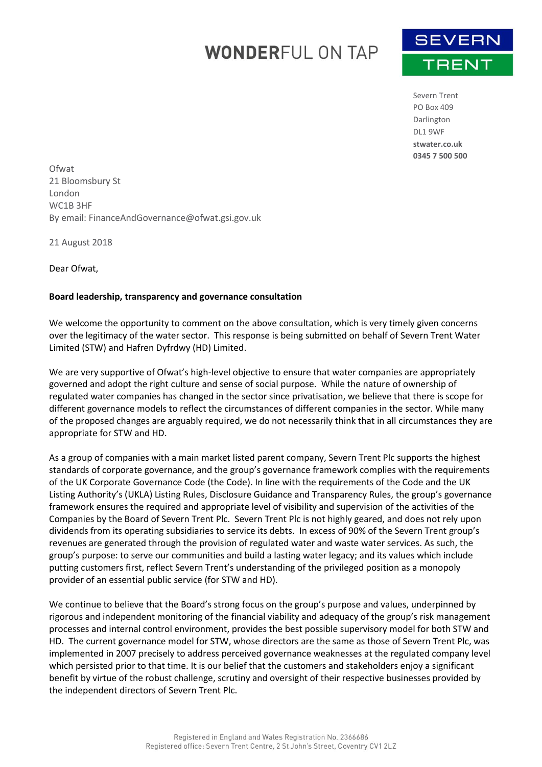# **WONDERFUL ON TAP**



Severn Trent PO Box 409 Darlington DL1 9WF **stwater.co.uk 0345 7 500 500**

**Ofwat** 21 Bloomsbury St London WC1B 3HF By email: FinanceAndGovernance@ofwat.gsi.gov.uk

21 August 2018

Dear Ofwat,

#### **Board leadership, transparency and governance consultation**

We welcome the opportunity to comment on the above consultation, which is very timely given concerns over the legitimacy of the water sector. This response is being submitted on behalf of Severn Trent Water Limited (STW) and Hafren Dyfrdwy (HD) Limited.

We are very supportive of Ofwat's high-level objective to ensure that water companies are appropriately governed and adopt the right culture and sense of social purpose. While the nature of ownership of regulated water companies has changed in the sector since privatisation, we believe that there is scope for different governance models to reflect the circumstances of different companies in the sector. While many of the proposed changes are arguably required, we do not necessarily think that in all circumstances they are appropriate for STW and HD.

As a group of companies with a main market listed parent company, Severn Trent Plc supports the highest standards of corporate governance, and the group's governance framework complies with the requirements of the UK Corporate Governance Code (the Code). In line with the requirements of the Code and the UK Listing Authority's (UKLA) Listing Rules, Disclosure Guidance and Transparency Rules, the group's governance framework ensures the required and appropriate level of visibility and supervision of the activities of the Companies by the Board of Severn Trent Plc. Severn Trent Plc is not highly geared, and does not rely upon dividends from its operating subsidiaries to service its debts. In excess of 90% of the Severn Trent group's revenues are generated through the provision of regulated water and waste water services. As such, the group's purpose: to serve our communities and build a lasting water legacy; and its values which include putting customers first, reflect Severn Trent's understanding of the privileged position as a monopoly provider of an essential public service (for STW and HD).

We continue to believe that the Board's strong focus on the group's purpose and values, underpinned by rigorous and independent monitoring of the financial viability and adequacy of the group's risk management processes and internal control environment, provides the best possible supervisory model for both STW and HD. The current governance model for STW, whose directors are the same as those of Severn Trent Plc, was implemented in 2007 precisely to address perceived governance weaknesses at the regulated company level which persisted prior to that time. It is our belief that the customers and stakeholders enjoy a significant benefit by virtue of the robust challenge, scrutiny and oversight of their respective businesses provided by the independent directors of Severn Trent Plc.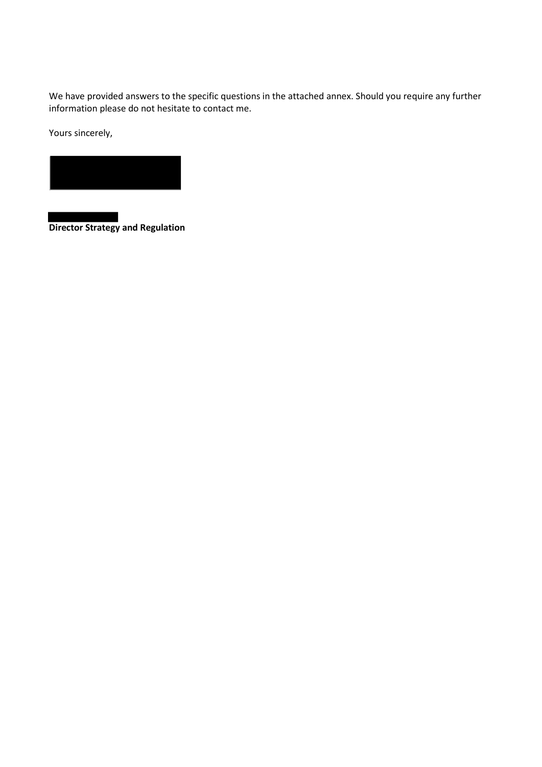We have provided answers to the specific questions in the attached annex. Should you require any further information please do not hesitate to contact me.

Yours sincerely,



**Director Strategy and Regulation**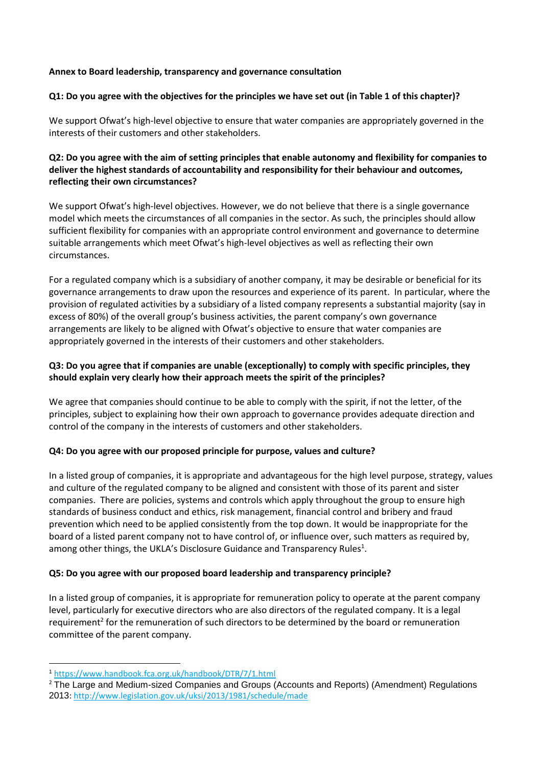#### **Annex to Board leadership, transparency and governance consultation**

## **Q1: Do you agree with the objectives for the principles we have set out (in Table 1 of this chapter)?**

We support Ofwat's high-level objective to ensure that water companies are appropriately governed in the interests of their customers and other stakeholders.

## **Q2: Do you agree with the aim of setting principles that enable autonomy and flexibility for companies to deliver the highest standards of accountability and responsibility for their behaviour and outcomes, reflecting their own circumstances?**

We support Ofwat's high-level objectives. However, we do not believe that there is a single governance model which meets the circumstances of all companies in the sector. As such, the principles should allow sufficient flexibility for companies with an appropriate control environment and governance to determine suitable arrangements which meet Ofwat's high-level objectives as well as reflecting their own circumstances.

For a regulated company which is a subsidiary of another company, it may be desirable or beneficial for its governance arrangements to draw upon the resources and experience of its parent. In particular, where the provision of regulated activities by a subsidiary of a listed company represents a substantial majority (say in excess of 80%) of the overall group's business activities, the parent company's own governance arrangements are likely to be aligned with Ofwat's objective to ensure that water companies are appropriately governed in the interests of their customers and other stakeholders.

# **Q3: Do you agree that if companies are unable (exceptionally) to comply with specific principles, they should explain very clearly how their approach meets the spirit of the principles?**

We agree that companies should continue to be able to comply with the spirit, if not the letter, of the principles, subject to explaining how their own approach to governance provides adequate direction and control of the company in the interests of customers and other stakeholders.

## **Q4: Do you agree with our proposed principle for purpose, values and culture?**

In a listed group of companies, it is appropriate and advantageous for the high level purpose, strategy, values and culture of the regulated company to be aligned and consistent with those of its parent and sister companies. There are policies, systems and controls which apply throughout the group to ensure high standards of business conduct and ethics, risk management, financial control and bribery and fraud prevention which need to be applied consistently from the top down. It would be inappropriate for the board of a listed parent company not to have control of, or influence over, such matters as required by, among other things, the UKLA's Disclosure Guidance and Transparency Rules<sup>1</sup>.

## **Q5: Do you agree with our proposed board leadership and transparency principle?**

In a listed group of companies, it is appropriate for remuneration policy to operate at the parent company level, particularly for executive directors who are also directors of the regulated company. It is a legal requirement<sup>2</sup> for the remuneration of such directors to be determined by the board or remuneration committee of the parent company.

 $\overline{a}$ 

<sup>1</sup> <https://www.handbook.fca.org.uk/handbook/DTR/7/1.html>

<sup>&</sup>lt;sup>2</sup> The Large and Medium-sized Companies and Groups (Accounts and Reports) (Amendment) Regulations 2013:<http://www.legislation.gov.uk/uksi/2013/1981/schedule/made>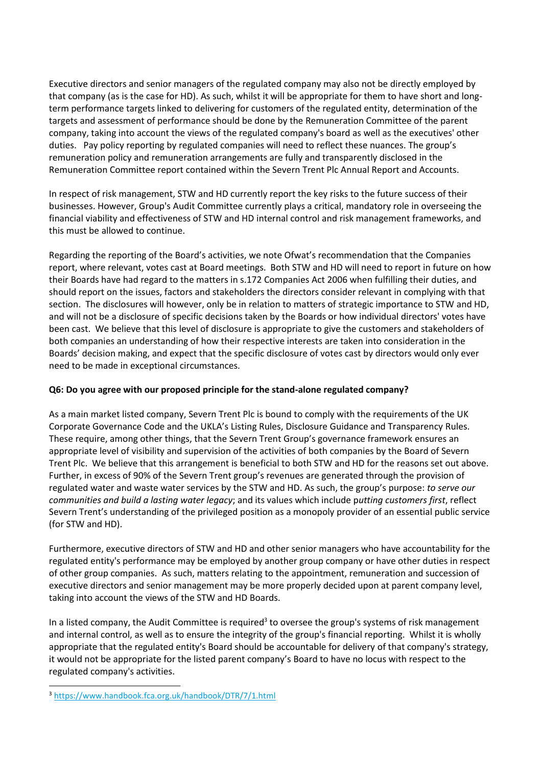Executive directors and senior managers of the regulated company may also not be directly employed by that company (as is the case for HD). As such, whilst it will be appropriate for them to have short and longterm performance targets linked to delivering for customers of the regulated entity, determination of the targets and assessment of performance should be done by the Remuneration Committee of the parent company, taking into account the views of the regulated company's board as well as the executives' other duties. Pay policy reporting by regulated companies will need to reflect these nuances. The group's remuneration policy and remuneration arrangements are fully and transparently disclosed in the Remuneration Committee report contained within the Severn Trent Plc Annual Report and Accounts.

In respect of risk management, STW and HD currently report the key risks to the future success of their businesses. However, Group's Audit Committee currently plays a critical, mandatory role in overseeing the financial viability and effectiveness of STW and HD internal control and risk management frameworks, and this must be allowed to continue.

Regarding the reporting of the Board's activities, we note Ofwat's recommendation that the Companies report, where relevant, votes cast at Board meetings. Both STW and HD will need to report in future on how their Boards have had regard to the matters in s.172 Companies Act 2006 when fulfilling their duties, and should report on the issues, factors and stakeholders the directors consider relevant in complying with that section. The disclosures will however, only be in relation to matters of strategic importance to STW and HD, and will not be a disclosure of specific decisions taken by the Boards or how individual directors' votes have been cast. We believe that this level of disclosure is appropriate to give the customers and stakeholders of both companies an understanding of how their respective interests are taken into consideration in the Boards' decision making, and expect that the specific disclosure of votes cast by directors would only ever need to be made in exceptional circumstances.

# **Q6: Do you agree with our proposed principle for the stand-alone regulated company?**

As a main market listed company, Severn Trent Plc is bound to comply with the requirements of the UK Corporate Governance Code and the UKLA's Listing Rules, Disclosure Guidance and Transparency Rules. These require, among other things, that the Severn Trent Group's governance framework ensures an appropriate level of visibility and supervision of the activities of both companies by the Board of Severn Trent Plc. We believe that this arrangement is beneficial to both STW and HD for the reasons set out above. Further, in excess of 90% of the Severn Trent group's revenues are generated through the provision of regulated water and waste water services by the STW and HD. As such, the group's purpose: *to serve our communities and build a lasting water legacy*; and its values which include p*utting customers first*, reflect Severn Trent's understanding of the privileged position as a monopoly provider of an essential public service (for STW and HD).

Furthermore, executive directors of STW and HD and other senior managers who have accountability for the regulated entity's performance may be employed by another group company or have other duties in respect of other group companies. As such, matters relating to the appointment, remuneration and succession of executive directors and senior management may be more properly decided upon at parent company level, taking into account the views of the STW and HD Boards.

In a listed company, the Audit Committee is required<sup>3</sup> to oversee the group's systems of risk management and internal control, as well as to ensure the integrity of the group's financial reporting. Whilst it is wholly appropriate that the regulated entity's Board should be accountable for delivery of that company's strategy, it would not be appropriate for the listed parent company's Board to have no locus with respect to the regulated company's activities.

<sup>3</sup> <https://www.handbook.fca.org.uk/handbook/DTR/7/1.html>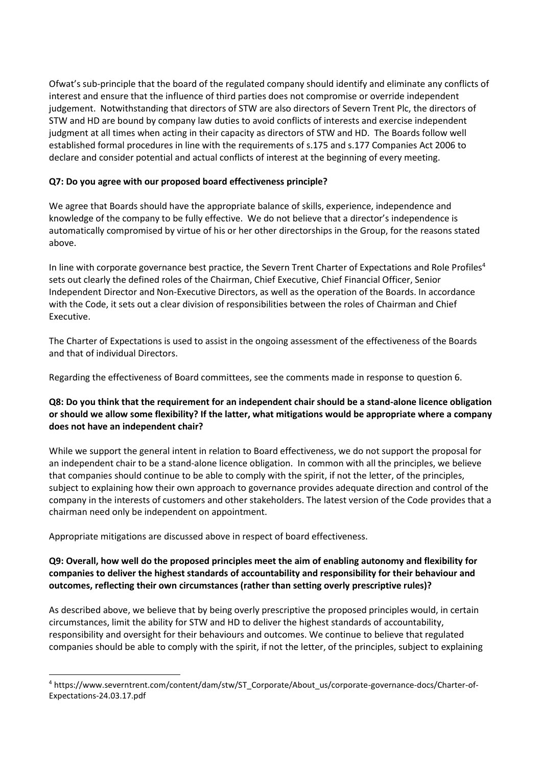Ofwat's sub-principle that the board of the regulated company should identify and eliminate any conflicts of interest and ensure that the influence of third parties does not compromise or override independent judgement. Notwithstanding that directors of STW are also directors of Severn Trent Plc, the directors of STW and HD are bound by company law duties to avoid conflicts of interests and exercise independent judgment at all times when acting in their capacity as directors of STW and HD. The Boards follow well established formal procedures in line with the requirements of s.175 and s.177 Companies Act 2006 to declare and consider potential and actual conflicts of interest at the beginning of every meeting.

# **Q7: Do you agree with our proposed board effectiveness principle?**

We agree that Boards should have the appropriate balance of skills, experience, independence and knowledge of the company to be fully effective. We do not believe that a director's independence is automatically compromised by virtue of his or her other directorships in the Group, for the reasons stated above.

In line with corporate governance best practice, the Severn Trent Charter of Expectations and Role Profiles<sup>4</sup> sets out clearly the defined roles of the Chairman, Chief Executive, Chief Financial Officer, Senior Independent Director and Non-Executive Directors, as well as the operation of the Boards. In accordance with the Code, it sets out a clear division of responsibilities between the roles of Chairman and Chief Executive.

The Charter of Expectations is used to assist in the ongoing assessment of the effectiveness of the Boards and that of individual Directors.

Regarding the effectiveness of Board committees, see the comments made in response to question 6.

# **Q8: Do you think that the requirement for an independent chair should be a stand-alone licence obligation or should we allow some flexibility? If the latter, what mitigations would be appropriate where a company does not have an independent chair?**

While we support the general intent in relation to Board effectiveness, we do not support the proposal for an independent chair to be a stand-alone licence obligation. In common with all the principles, we believe that companies should continue to be able to comply with the spirit, if not the letter, of the principles, subject to explaining how their own approach to governance provides adequate direction and control of the company in the interests of customers and other stakeholders. The latest version of the Code provides that a chairman need only be independent on appointment.

Appropriate mitigations are discussed above in respect of board effectiveness.

 $\overline{a}$ 

# **Q9: Overall, how well do the proposed principles meet the aim of enabling autonomy and flexibility for companies to deliver the highest standards of accountability and responsibility for their behaviour and outcomes, reflecting their own circumstances (rather than setting overly prescriptive rules)?**

As described above, we believe that by being overly prescriptive the proposed principles would, in certain circumstances, limit the ability for STW and HD to deliver the highest standards of accountability, responsibility and oversight for their behaviours and outcomes. We continue to believe that regulated companies should be able to comply with the spirit, if not the letter, of the principles, subject to explaining

<sup>4</sup> https://www.severntrent.com/content/dam/stw/ST\_Corporate/About\_us/corporate-governance-docs/Charter-of-Expectations-24.03.17.pdf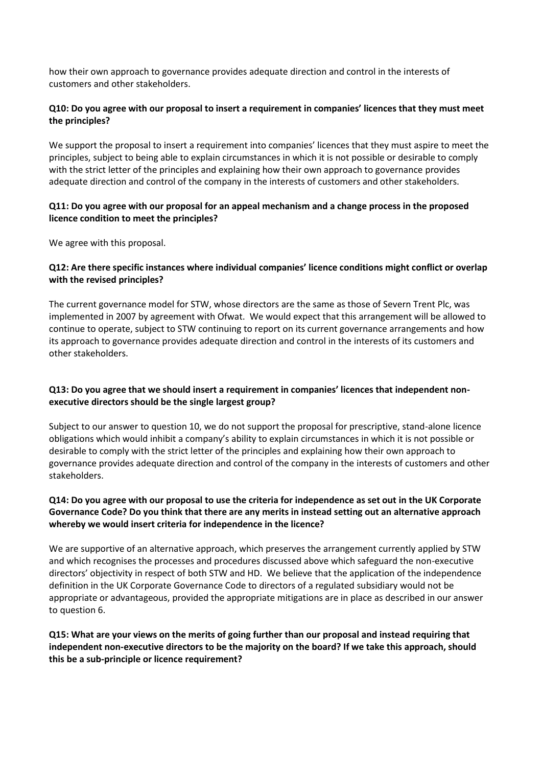how their own approach to governance provides adequate direction and control in the interests of customers and other stakeholders.

#### **Q10: Do you agree with our proposal to insert a requirement in companies' licences that they must meet the principles?**

We support the proposal to insert a requirement into companies' licences that they must aspire to meet the principles, subject to being able to explain circumstances in which it is not possible or desirable to comply with the strict letter of the principles and explaining how their own approach to governance provides adequate direction and control of the company in the interests of customers and other stakeholders.

#### **Q11: Do you agree with our proposal for an appeal mechanism and a change process in the proposed licence condition to meet the principles?**

We agree with this proposal.

#### **Q12: Are there specific instances where individual companies' licence conditions might conflict or overlap with the revised principles?**

The current governance model for STW, whose directors are the same as those of Severn Trent Plc, was implemented in 2007 by agreement with Ofwat. We would expect that this arrangement will be allowed to continue to operate, subject to STW continuing to report on its current governance arrangements and how its approach to governance provides adequate direction and control in the interests of its customers and other stakeholders.

## **Q13: Do you agree that we should insert a requirement in companies' licences that independent nonexecutive directors should be the single largest group?**

Subject to our answer to question 10, we do not support the proposal for prescriptive, stand-alone licence obligations which would inhibit a company's ability to explain circumstances in which it is not possible or desirable to comply with the strict letter of the principles and explaining how their own approach to governance provides adequate direction and control of the company in the interests of customers and other stakeholders.

## **Q14: Do you agree with our proposal to use the criteria for independence as set out in the UK Corporate Governance Code? Do you think that there are any merits in instead setting out an alternative approach whereby we would insert criteria for independence in the licence?**

We are supportive of an alternative approach, which preserves the arrangement currently applied by STW and which recognises the processes and procedures discussed above which safeguard the non-executive directors' objectivity in respect of both STW and HD. We believe that the application of the independence definition in the UK Corporate Governance Code to directors of a regulated subsidiary would not be appropriate or advantageous, provided the appropriate mitigations are in place as described in our answer to question 6.

## **Q15: What are your views on the merits of going further than our proposal and instead requiring that independent non-executive directors to be the majority on the board? If we take this approach, should this be a sub-principle or licence requirement?**